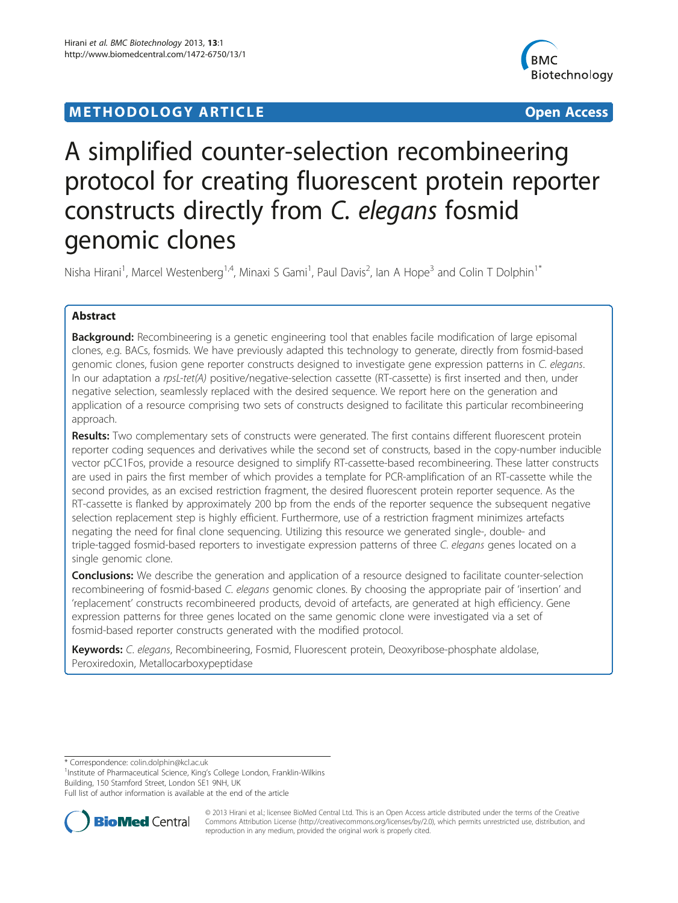## **METHODOLOGY ARTICLE CONSUMING A RESERVE AND LODGE ACCESS**



# A simplified counter-selection recombineering protocol for creating fluorescent protein reporter constructs directly from C. elegans fosmid genomic clones

Nisha Hirani<sup>1</sup>, Marcel Westenberg<sup>1,4</sup>, Minaxi S Gami<sup>1</sup>, Paul Davis<sup>2</sup>, lan A Hope<sup>3</sup> and Colin T Dolphin<sup>1\*</sup>

## Abstract

Background: Recombineering is a genetic engineering tool that enables facile modification of large episomal clones, e.g. BACs, fosmids. We have previously adapted this technology to generate, directly from fosmid-based genomic clones, fusion gene reporter constructs designed to investigate gene expression patterns in C. elegans. In our adaptation a rpsL-tet(A) positive/negative-selection cassette (RT-cassette) is first inserted and then, under negative selection, seamlessly replaced with the desired sequence. We report here on the generation and application of a resource comprising two sets of constructs designed to facilitate this particular recombineering approach.

Results: Two complementary sets of constructs were generated. The first contains different fluorescent protein reporter coding sequences and derivatives while the second set of constructs, based in the copy-number inducible vector pCC1Fos, provide a resource designed to simplify RT-cassette-based recombineering. These latter constructs are used in pairs the first member of which provides a template for PCR-amplification of an RT-cassette while the second provides, as an excised restriction fragment, the desired fluorescent protein reporter sequence. As the RT-cassette is flanked by approximately 200 bp from the ends of the reporter sequence the subsequent negative selection replacement step is highly efficient. Furthermore, use of a restriction fragment minimizes artefacts negating the need for final clone sequencing. Utilizing this resource we generated single-, double- and triple-tagged fosmid-based reporters to investigate expression patterns of three C. elegans genes located on a single genomic clone.

**Conclusions:** We describe the generation and application of a resource designed to facilitate counter-selection recombineering of fosmid-based C. elegans genomic clones. By choosing the appropriate pair of 'insertion' and 'replacement' constructs recombineered products, devoid of artefacts, are generated at high efficiency. Gene expression patterns for three genes located on the same genomic clone were investigated via a set of fosmid-based reporter constructs generated with the modified protocol.

Keywords: C. elegans, Recombineering, Fosmid, Fluorescent protein, Deoxyribose-phosphate aldolase, Peroxiredoxin, Metallocarboxypeptidase

\* Correspondence: [colin.dolphin@kcl.ac.uk](mailto:colin.dolphin@kcl.ac.uk) <sup>1</sup>

<sup>1</sup>Institute of Pharmaceutical Science, King's College London, Franklin-Wilkins Building, 150 Stamford Street, London SE1 9NH, UK

Full list of author information is available at the end of the article



© 2013 Hirani et al.; licensee BioMed Central Ltd. This is an Open Access article distributed under the terms of the Creative Commons Attribution License [\(http://creativecommons.org/licenses/by/2.0\)](http://creativecommons.org/licenses/by/2.0), which permits unrestricted use, distribution, and reproduction in any medium, provided the original work is properly cited.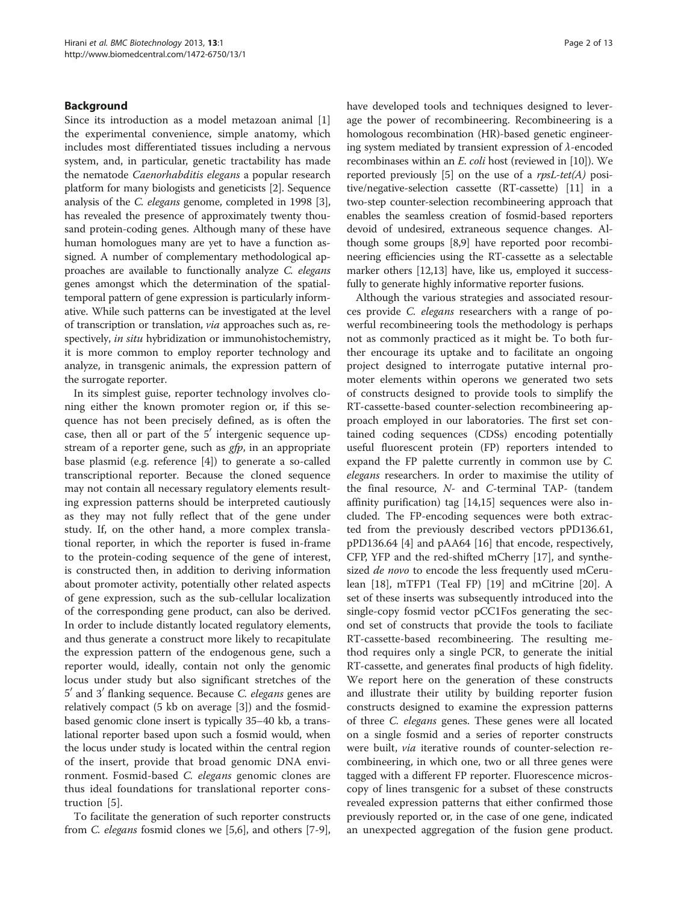### Background

Since its introduction as a model metazoan animal [\[1](#page-11-0)] the experimental convenience, simple anatomy, which includes most differentiated tissues including a nervous system, and, in particular, genetic tractability has made the nematode Caenorhabditis elegans a popular research platform for many biologists and geneticists [[2](#page-11-0)]. Sequence analysis of the *C. elegans* genome, completed in 1998 [[3](#page-11-0)], has revealed the presence of approximately twenty thousand protein-coding genes. Although many of these have human homologues many are yet to have a function assigned. A number of complementary methodological approaches are available to functionally analyze C. elegans genes amongst which the determination of the spatialtemporal pattern of gene expression is particularly informative. While such patterns can be investigated at the level of transcription or translation, via approaches such as, respectively, in situ hybridization or immunohistochemistry, it is more common to employ reporter technology and analyze, in transgenic animals, the expression pattern of the surrogate reporter.

In its simplest guise, reporter technology involves cloning either the known promoter region or, if this sequence has not been precisely defined, as is often the case, then all or part of the  $5'$  intergenic sequence upstream of a reporter gene, such as  $gfp$ , in an appropriate base plasmid (e.g. reference [[4\]](#page-11-0)) to generate a so-called transcriptional reporter. Because the cloned sequence may not contain all necessary regulatory elements resulting expression patterns should be interpreted cautiously as they may not fully reflect that of the gene under study. If, on the other hand, a more complex translational reporter, in which the reporter is fused in-frame to the protein-coding sequence of the gene of interest, is constructed then, in addition to deriving information about promoter activity, potentially other related aspects of gene expression, such as the sub-cellular localization of the corresponding gene product, can also be derived. In order to include distantly located regulatory elements, and thus generate a construct more likely to recapitulate the expression pattern of the endogenous gene, such a reporter would, ideally, contain not only the genomic locus under study but also significant stretches of the 5' and 3' flanking sequence. Because C. elegans genes are relatively compact (5 kb on average [\[3](#page-11-0)]) and the fosmidbased genomic clone insert is typically 35–40 kb, a translational reporter based upon such a fosmid would, when the locus under study is located within the central region of the insert, provide that broad genomic DNA environment. Fosmid-based C. elegans genomic clones are thus ideal foundations for translational reporter construction [\[5](#page-11-0)].

To facilitate the generation of such reporter constructs from C. elegans fosmid clones we [\[5,6](#page-11-0)], and others [[7-9](#page-11-0)], have developed tools and techniques designed to leverage the power of recombineering. Recombineering is a homologous recombination (HR)-based genetic engineering system mediated by transient expression of  $\lambda$ -encoded recombinases within an E. coli host (reviewed in [[10](#page-11-0)]). We reported previously [[5\]](#page-11-0) on the use of a  $rpsL-tet(A)$  positive/negative-selection cassette (RT-cassette) [\[11\]](#page-11-0) in a two-step counter-selection recombineering approach that enables the seamless creation of fosmid-based reporters devoid of undesired, extraneous sequence changes. Although some groups [\[8,9\]](#page-11-0) have reported poor recombineering efficiencies using the RT-cassette as a selectable marker others [[12,13](#page-11-0)] have, like us, employed it successfully to generate highly informative reporter fusions.

Although the various strategies and associated resources provide C. elegans researchers with a range of powerful recombineering tools the methodology is perhaps not as commonly practiced as it might be. To both further encourage its uptake and to facilitate an ongoing project designed to interrogate putative internal promoter elements within operons we generated two sets of constructs designed to provide tools to simplify the RT-cassette-based counter-selection recombineering approach employed in our laboratories. The first set contained coding sequences (CDSs) encoding potentially useful fluorescent protein (FP) reporters intended to expand the FP palette currently in common use by C. elegans researchers. In order to maximise the utility of the final resource, N- and C-terminal TAP- (tandem affinity purification) tag [\[14,15](#page-11-0)] sequences were also included. The FP-encoding sequences were both extracted from the previously described vectors pPD136.61, pPD136.64 [\[4](#page-11-0)] and pAA64 [[16\]](#page-11-0) that encode, respectively, CFP, YFP and the red-shifted mCherry [[17](#page-11-0)], and synthesized *de novo* to encode the less frequently used mCerulean [\[18\]](#page-11-0), mTFP1 (Teal FP) [[19\]](#page-11-0) and mCitrine [[20\]](#page-11-0). A set of these inserts was subsequently introduced into the single-copy fosmid vector pCC1Fos generating the second set of constructs that provide the tools to faciliate RT-cassette-based recombineering. The resulting method requires only a single PCR, to generate the initial RT-cassette, and generates final products of high fidelity. We report here on the generation of these constructs and illustrate their utility by building reporter fusion constructs designed to examine the expression patterns of three C. elegans genes. These genes were all located on a single fosmid and a series of reporter constructs were built, via iterative rounds of counter-selection recombineering, in which one, two or all three genes were tagged with a different FP reporter. Fluorescence microscopy of lines transgenic for a subset of these constructs revealed expression patterns that either confirmed those previously reported or, in the case of one gene, indicated an unexpected aggregation of the fusion gene product.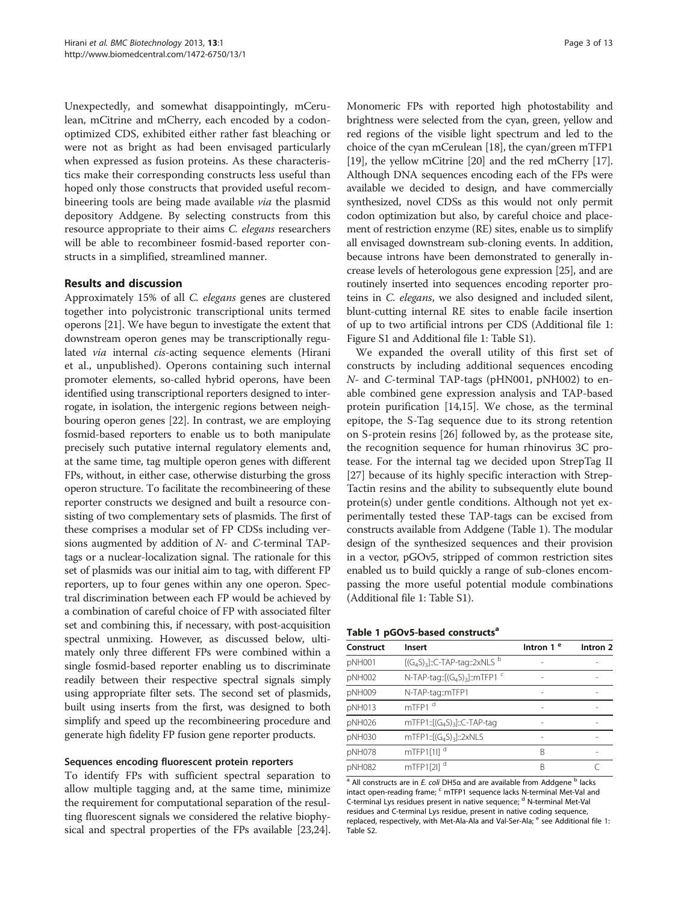<span id="page-2-0"></span>Unexpectedly, and somewhat disappointingly, mCerulean, mCitrine and mCherry, each encoded by a codonoptimized CDS, exhibited either rather fast bleaching or were not as bright as had been envisaged particularly when expressed as fusion proteins. As these characteristics make their corresponding constructs less useful than hoped only those constructs that provided useful recombineering tools are being made available *via* the plasmid depository Addgene. By selecting constructs from this resource appropriate to their aims C. elegans researchers will be able to recombineer fosmid-based reporter constructs in a simplified, streamlined manner.

### Results and discussion

Approximately 15% of all C. elegans genes are clustered together into polycistronic transcriptional units termed operons [[21](#page-11-0)]. We have begun to investigate the extent that downstream operon genes may be transcriptionally regulated via internal cis-acting sequence elements (Hirani et al., unpublished). Operons containing such internal promoter elements, so-called hybrid operons, have been identified using transcriptional reporters designed to interrogate, in isolation, the intergenic regions between neighbouring operon genes [\[22](#page-11-0)]. In contrast, we are employing fosmid-based reporters to enable us to both manipulate precisely such putative internal regulatory elements and, at the same time, tag multiple operon genes with different FPs, without, in either case, otherwise disturbing the gross operon structure. To facilitate the recombineering of these reporter constructs we designed and built a resource consisting of two complementary sets of plasmids. The first of these comprises a modular set of FP CDSs including versions augmented by addition of N- and C-terminal TAPtags or a nuclear-localization signal. The rationale for this set of plasmids was our initial aim to tag, with different FP reporters, up to four genes within any one operon. Spectral discrimination between each FP would be achieved by a combination of careful choice of FP with associated filter set and combining this, if necessary, with post-acquisition spectral unmixing. However, as discussed below, ultimately only three different FPs were combined within a single fosmid-based reporter enabling us to discriminate readily between their respective spectral signals simply using appropriate filter sets. The second set of plasmids, built using inserts from the first, was designed to both simplify and speed up the recombineering procedure and generate high fidelity FP fusion gene reporter products.

### Sequences encoding fluorescent protein reporters

To identify FPs with sufficient spectral separation to allow multiple tagging and, at the same time, minimize the requirement for computational separation of the resulting fluorescent signals we considered the relative biophysical and spectral properties of the FPs available [\[23,24](#page-11-0)].

Monomeric FPs with reported high photostability and brightness were selected from the cyan, green, yellow and red regions of the visible light spectrum and led to the choice of the cyan mCerulean [\[18](#page-11-0)], the cyan/green mTFP1 [[19](#page-11-0)], the yellow mCitrine [[20](#page-11-0)] and the red mCherry [[17](#page-11-0)]. Although DNA sequences encoding each of the FPs were available we decided to design, and have commercially synthesized, novel CDSs as this would not only permit codon optimization but also, by careful choice and placement of restriction enzyme (RE) sites, enable us to simplify all envisaged downstream sub-cloning events. In addition, because introns have been demonstrated to generally increase levels of heterologous gene expression [\[25\]](#page-11-0), and are routinely inserted into sequences encoding reporter proteins in C. elegans, we also designed and included silent, blunt-cutting internal RE sites to enable facile insertion of up to two artificial introns per CDS (Additional file [1](#page-11-0): Figure S1 and Additional file [1:](#page-11-0) Table S1).

We expanded the overall utility of this first set of constructs by including additional sequences encoding N- and C-terminal TAP-tags (pHN001, pNH002) to enable combined gene expression analysis and TAP-based protein purification [[14,15\]](#page-11-0). We chose, as the terminal epitope, the S-Tag sequence due to its strong retention on S-protein resins [[26](#page-11-0)] followed by, as the protease site, the recognition sequence for human rhinovirus 3C protease. For the internal tag we decided upon StrepTag II [[27\]](#page-11-0) because of its highly specific interaction with Strep-Tactin resins and the ability to subsequently elute bound protein(s) under gentle conditions. Although not yet experimentally tested these TAP-tags can be excised from constructs available from Addgene (Table 1). The modular design of the synthesized sequences and their provision in a vector, pGOv5, stripped of common restriction sites enabled us to build quickly a range of sub-clones encompassing the more useful potential module combinations (Additional file [1](#page-11-0): Table S1).

|  |  | Table 1 pGOv5-based constructs <sup>a</sup> |  |
|--|--|---------------------------------------------|--|
|--|--|---------------------------------------------|--|

| Construct | <b>Insert</b>                                                     | Intron $1e$ | Intron 2 |  |
|-----------|-------------------------------------------------------------------|-------------|----------|--|
| pNH001    | $[(G_4S)_3]$ ::C-TAP-tag::2xNLS $^b$                              |             |          |  |
| pNH002    | N-TAP-tag::[(G <sub>4</sub> S) <sub>3</sub> ]::mTFP1 <sup>c</sup> |             |          |  |
| pNH009    | N-TAP-tag::mTFP1                                                  |             |          |  |
| pNH013    | mTFP1 <sup>d</sup>                                                |             |          |  |
| pNH026    | mTFP1::[(G <sub>4</sub> S) <sub>3</sub> ]::C-TAP-tag              |             |          |  |
| pNH030    | $mTFP1::[(G4S)3]::2xNLS$                                          |             |          |  |
| pNH078    | mTFP1[1I] <sup>d</sup>                                            | R           |          |  |
| pNH082    | mTFP1[2l] <sup>d</sup>                                            | R           |          |  |

<sup>a</sup> All constructs are in *E. coli* DH5α and are available from Addgene <sup>b</sup> lacks intact open-reading frame; c mTFP1 sequence lacks N-terminal Met-Val and C-terminal Lys residues present in native sequence; <sup>d</sup> N-terminal Met-Val residues and C-terminal Lys residue, present in native coding sequence, replaced, respectively, with Met-Ala-Ala and Val-Ser-Ala; <sup>e</sup> see Additional file [1](#page-11-0): Table S2.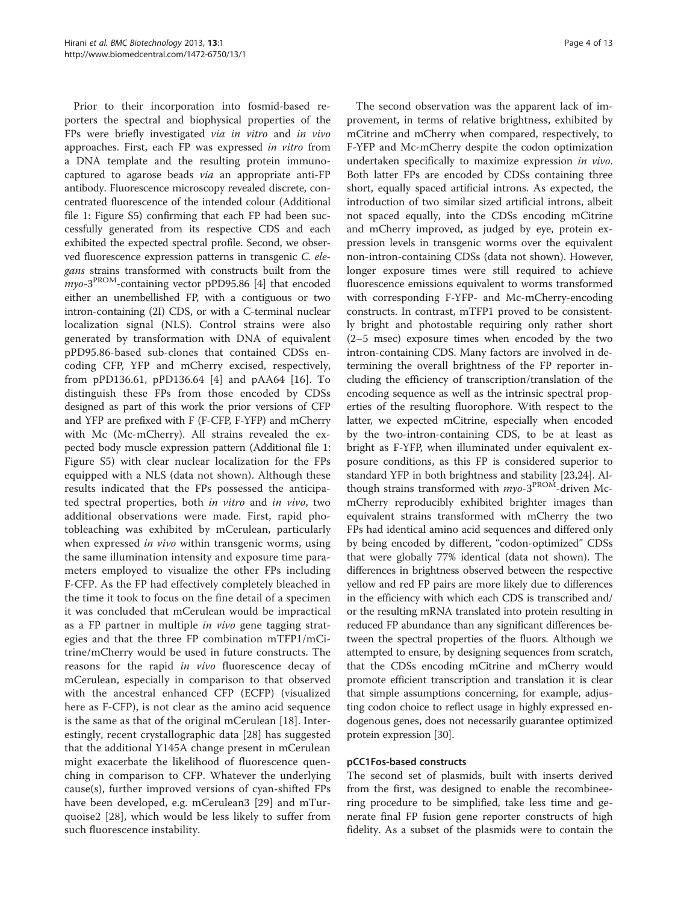Prior to their incorporation into fosmid-based reporters the spectral and biophysical properties of the FPs were briefly investigated via in vitro and in vivo approaches. First, each FP was expressed in vitro from a DNA template and the resulting protein immunocaptured to agarose beads via an appropriate anti-FP antibody. Fluorescence microscopy revealed discrete, concentrated fluorescence of the intended colour (Additional file [1](#page-11-0): Figure S5) confirming that each FP had been successfully generated from its respective CDS and each exhibited the expected spectral profile. Second, we observed fluorescence expression patterns in transgenic C. elegans strains transformed with constructs built from the  $\mu$ <sub>2</sub>PROM<sub>-</sub>containing vector pPD95.86 [\[4\]](#page-11-0) that encoded either an unembellished FP, with a contiguous or two intron-containing (2I) CDS, or with a C-terminal nuclear localization signal (NLS). Control strains were also generated by transformation with DNA of equivalent pPD95.86-based sub-clones that contained CDSs encoding CFP, YFP and mCherry excised, respectively, from pPD136.61, pPD136.64 [[4\]](#page-11-0) and pAA64 [\[16](#page-11-0)]. To distinguish these FPs from those encoded by CDSs designed as part of this work the prior versions of CFP and YFP are prefixed with F (F-CFP, F-YFP) and mCherry with Mc (Mc-mCherry). All strains revealed the expected body muscle expression pattern (Additional file [1](#page-11-0): Figure S5) with clear nuclear localization for the FPs equipped with a NLS (data not shown). Although these results indicated that the FPs possessed the anticipated spectral properties, both in vitro and in vivo, two additional observations were made. First, rapid photobleaching was exhibited by mCerulean, particularly when expressed *in vivo* within transgenic worms, using the same illumination intensity and exposure time parameters employed to visualize the other FPs including F-CFP. As the FP had effectively completely bleached in the time it took to focus on the fine detail of a specimen it was concluded that mCerulean would be impractical as a FP partner in multiple in vivo gene tagging strategies and that the three FP combination mTFP1/mCitrine/mCherry would be used in future constructs. The reasons for the rapid in vivo fluorescence decay of mCerulean, especially in comparison to that observed with the ancestral enhanced CFP (ECFP) (visualized here as F-CFP), is not clear as the amino acid sequence is the same as that of the original mCerulean [[18\]](#page-11-0). Interestingly, recent crystallographic data [[28\]](#page-12-0) has suggested that the additional Y145A change present in mCerulean might exacerbate the likelihood of fluorescence quenching in comparison to CFP. Whatever the underlying cause(s), further improved versions of cyan-shifted FPs have been developed, e.g. mCerulean3 [[29\]](#page-12-0) and mTurquoise2 [[28\]](#page-12-0), which would be less likely to suffer from such fluorescence instability.

The second observation was the apparent lack of improvement, in terms of relative brightness, exhibited by mCitrine and mCherry when compared, respectively, to F-YFP and Mc-mCherry despite the codon optimization undertaken specifically to maximize expression in vivo. Both latter FPs are encoded by CDSs containing three short, equally spaced artificial introns. As expected, the introduction of two similar sized artificial introns, albeit not spaced equally, into the CDSs encoding mCitrine and mCherry improved, as judged by eye, protein expression levels in transgenic worms over the equivalent non-intron-containing CDSs (data not shown). However, longer exposure times were still required to achieve fluorescence emissions equivalent to worms transformed with corresponding F-YFP- and Mc-mCherry-encoding constructs. In contrast, mTFP1 proved to be consistently bright and photostable requiring only rather short (2–5 msec) exposure times when encoded by the two intron-containing CDS. Many factors are involved in determining the overall brightness of the FP reporter including the efficiency of transcription/translation of the encoding sequence as well as the intrinsic spectral properties of the resulting fluorophore. With respect to the latter, we expected mCitrine, especially when encoded by the two-intron-containing CDS, to be at least as bright as F-YFP, when illuminated under equivalent exposure conditions, as this FP is considered superior to standard YFP in both brightness and stability [\[23,24](#page-11-0)]. Although strains transformed with  $myo-3^{PROM}$ -driven McmCherry reproducibly exhibited brighter images than equivalent strains transformed with mCherry the two FPs had identical amino acid sequences and differed only by being encoded by different, "codon-optimized" CDSs that were globally 77% identical (data not shown). The differences in brightness observed between the respective yellow and red FP pairs are more likely due to differences in the efficiency with which each CDS is transcribed and/ or the resulting mRNA translated into protein resulting in reduced FP abundance than any significant differences between the spectral properties of the fluors. Although we attempted to ensure, by designing sequences from scratch, that the CDSs encoding mCitrine and mCherry would promote efficient transcription and translation it is clear that simple assumptions concerning, for example, adjusting codon choice to reflect usage in highly expressed endogenous genes, does not necessarily guarantee optimized protein expression [\[30\]](#page-12-0).

#### pCC1Fos-based constructs

The second set of plasmids, built with inserts derived from the first, was designed to enable the recombineering procedure to be simplified, take less time and generate final FP fusion gene reporter constructs of high fidelity. As a subset of the plasmids were to contain the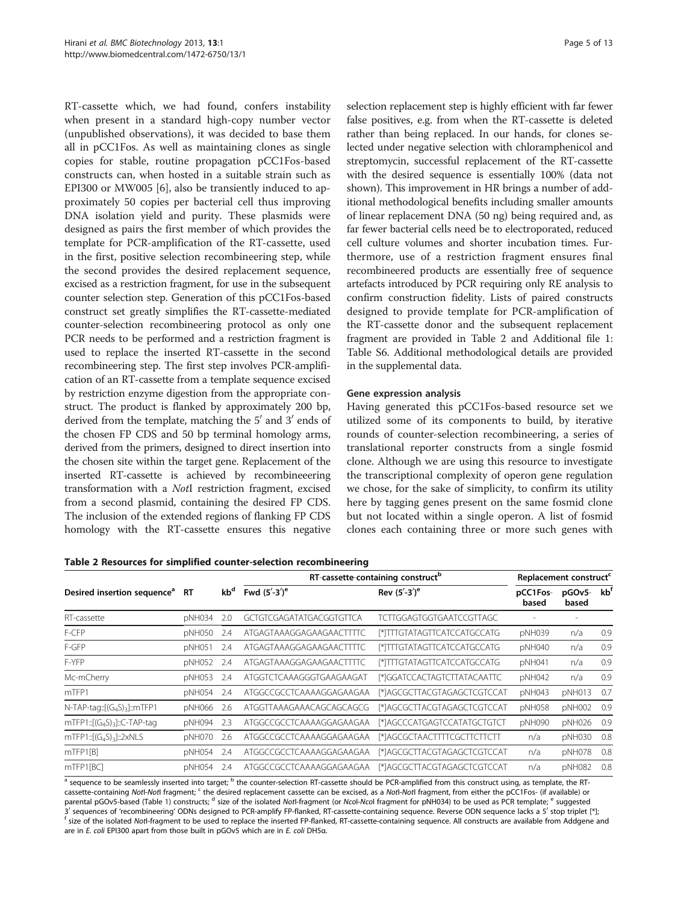<span id="page-4-0"></span>RT-cassette which, we had found, confers instability when present in a standard high-copy number vector (unpublished observations), it was decided to base them all in pCC1Fos. As well as maintaining clones as single copies for stable, routine propagation pCC1Fos-based constructs can, when hosted in a suitable strain such as EPI300 or MW005 [\[6](#page-11-0)], also be transiently induced to approximately 50 copies per bacterial cell thus improving DNA isolation yield and purity. These plasmids were designed as pairs the first member of which provides the template for PCR-amplification of the RT-cassette, used in the first, positive selection recombineering step, while the second provides the desired replacement sequence, excised as a restriction fragment, for use in the subsequent counter selection step. Generation of this pCC1Fos-based construct set greatly simplifies the RT-cassette-mediated counter-selection recombineering protocol as only one PCR needs to be performed and a restriction fragment is used to replace the inserted RT-cassette in the second recombineering step. The first step involves PCR-amplification of an RT-cassette from a template sequence excised by restriction enzyme digestion from the appropriate construct. The product is flanked by approximately 200 bp, derived from the template, matching the  $5'$  and  $3'$  ends of the chosen FP CDS and 50 bp terminal homology arms, derived from the primers, designed to direct insertion into the chosen site within the target gene. Replacement of the inserted RT-cassette is achieved by recombineeering transformation with a NotI restriction fragment, excised from a second plasmid, containing the desired FP CDS. The inclusion of the extended regions of flanking FP CDS homology with the RT-cassette ensures this negative selection replacement step is highly efficient with far fewer false positives, e.g. from when the RT-cassette is deleted rather than being replaced. In our hands, for clones selected under negative selection with chloramphenicol and streptomycin, successful replacement of the RT-cassette with the desired sequence is essentially 100% (data not shown). This improvement in HR brings a number of additional methodological benefits including smaller amounts of linear replacement DNA (50 ng) being required and, as far fewer bacterial cells need be to electroporated, reduced cell culture volumes and shorter incubation times. Furthermore, use of a restriction fragment ensures final recombineered products are essentially free of sequence artefacts introduced by PCR requiring only RE analysis to confirm construction fidelity. Lists of paired constructs designed to provide template for PCR-amplification of the RT-cassette donor and the subsequent replacement fragment are provided in Table 2 and Additional file [1](#page-11-0): Table S6. Additional methodological details are provided in the supplemental data.

#### Gene expression analysis

Having generated this pCC1Fos-based resource set we utilized some of its components to build, by iterative rounds of counter-selection recombineering, a series of translational reporter constructs from a single fosmid clone. Although we are using this resource to investigate the transcriptional complexity of operon gene regulation we chose, for the sake of simplicity, to confirm its utility here by tagging genes present on the same fosmid clone but not located within a single operon. A list of fosmid clones each containing three or more such genes with

Table 2 Resources for simplified counter-selection recombineering

|                                         | RT     | kb <sup>d</sup> | RT-cassette-containing construct <sup>b</sup> |                             | Replacement construct <sup>c</sup> |                 |     |
|-----------------------------------------|--------|-----------------|-----------------------------------------------|-----------------------------|------------------------------------|-----------------|-----|
| Desired insertion sequence <sup>a</sup> |        |                 | Fwd $(5' - 3')^e$                             | Rev $(5' - 3')^e$           | pCC1Fos-<br>based                  | pGOv5-<br>based | kb' |
| RT-cassette                             | pNH034 | 2.0             | GCTGTCGAGATATGACGGTGTTCA                      | TCTTGGAGTGGTGAATCCGTTAGC    |                                    |                 |     |
| F-CFP                                   | pNH050 | 2.4             | ATGAGTAAAGGAGAAGAACTTTTC                      | [*]TITGTATAGTTCATCCATGCCATG | pNH039                             | n/a             | 0.9 |
| F-GFP                                   | pNH051 | 2.4             | ATGAGTAAAGGAGAAGAACTTTTC                      | [*]TTTGTATAGTTCATCCATGCCATG | pNH040                             | n/a             | 0.9 |
| F-YFP                                   | pNH052 | -2.4            | ATGAGTAAAGGAGAAGAACTTTTC                      | [*]TTTGTATAGTTCATCCATGCCATG | pNH041                             | n/a             | 0.9 |
| Mc-mCherry                              | pNH053 | -2.4            | ATGGTCTCAAAGGGTGAAGAAGAT                      | [*]GGATCCACTAGTCTTATACAATTC | pNH042                             | n/a             | 0.9 |
| mTFP1                                   | pNH054 | -2.4            | ATGGCCGCCTCAAAAGGAGAAGAA                      | [*]AGCGCTTACGTAGAGCTCGTCCAT | pNH043                             | pNH013          | 0.7 |
| $N-TAP$ -tag:: $[(G4S)3]$ ::mTFP1       | pNH066 | 2.6             | ATGGTTAAAGAAACAGCAGCAGCG                      | [*]AGCGCTTACGTAGAGCTCGTCCAT | pNH058                             | pNH002          | 0.9 |
| mTFP1:: $[(G_4S)_3]$ ::C-TAP-taq        | pNH094 | 2.3             | ATGGCCGCCTCAAAAGGAGAAGAA                      | [*]AGCCCATGAGTCCATATGCTGTCT | pNH090                             | pNH026          | 0.9 |
| $mTFP1::[(G_4S)_3::2xNLS]$              | pNH070 | 2.6             | ATGGCCGCCTCAAAAGGAGAAGAA                      | [*]AGCGCTAACTTTTCGCTTCTTCTT | n/a                                | pNH030          | 0.8 |
| mTFP1[B]                                | pNH054 | 2.4             | ATGGCCGCCTCAAAAGGAGAAGAA                      | [*]AGCGCTTACGTAGAGCTCGTCCAT | n/a                                | pNH078          | 0.8 |
| mTFP1[BC]                               | pNH054 | 2.4             | ATGGCCGCCTCAAAAGGAGAAGAA                      | [*]AGCGCTTACGTAGAGCTCGTCCAT | n/a                                | pNH082          | 0.8 |

<sup>a</sup> sequence to be seamlessly inserted into target; <sup>b</sup> the counter-selection RT-cassette should be PCR-amplified from this construct using, as template, the RTcassette-containing Notl-Notl fragment; free desired replacement cassette can be excised, as a Notl-Notl fragment, from either the pCC1Fos- (if available) or parental pGOv5-based (Table [1](#page-2-0)) constructs; <sup>d</sup> size of the isolated Notl-fragment (or Ncol-Ncol fragment for pNH034) to be used as PCR template; <sup>e</sup> suggested 3' sequences of 'recombineering' ODNs designed to PCR-amplify FP-flanked, RT-cassette-containing sequence. Reverse ODN sequence lacks a 5' stop triplet [\*];<br><sup>f</sup> size of the isolated Notl-fragment to be used to replace the are in E. coli EPI300 apart from those built in pGOv5 which are in E. coli DH5α.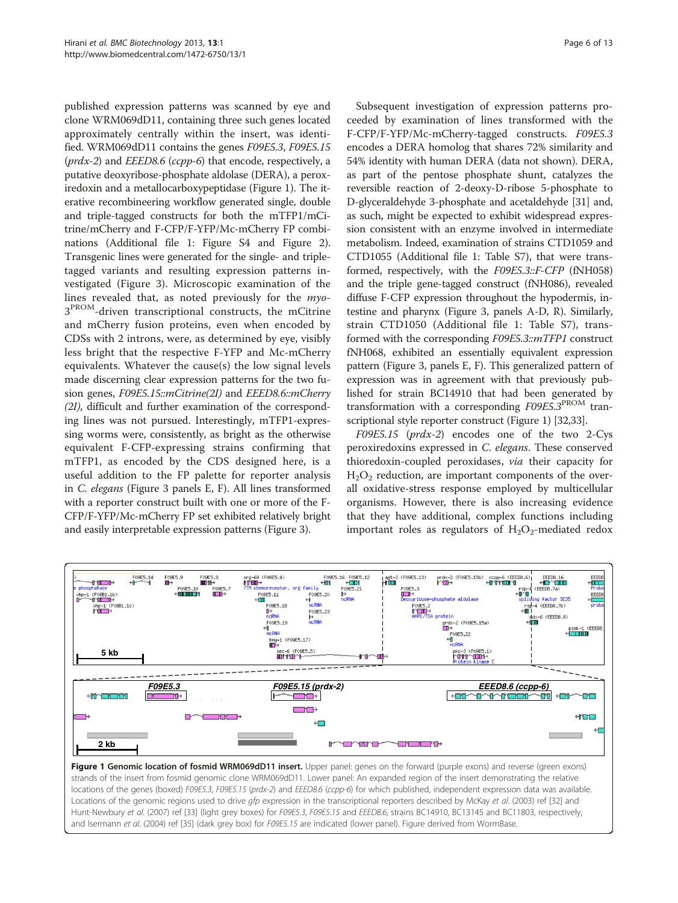<span id="page-5-0"></span>published expression patterns was scanned by eye and clone WRM069dD11, containing three such genes located approximately centrally within the insert, was identified. WRM069dD11 contains the genes F09E5.3, F09E5.15  $(predx-2)$  and *EEED8.6* (*ccpp-6*) that encode, respectively, a putative deoxyribose-phosphate aldolase (DERA), a peroxiredoxin and a metallocarboxypeptidase (Figure 1). The iterative recombineering workflow generated single, double and triple-tagged constructs for both the mTFP1/mCitrine/mCherry and F-CFP/F-YFP/Mc-mCherry FP combinations (Additional file [1:](#page-11-0) Figure S4 and Figure [2](#page-6-0)). Transgenic lines were generated for the single- and tripletagged variants and resulting expression patterns investigated (Figure [3](#page-7-0)). Microscopic examination of the lines revealed that, as noted previously for the myo-3PROM-driven transcriptional constructs, the mCitrine and mCherry fusion proteins, even when encoded by CDSs with 2 introns, were, as determined by eye, visibly less bright that the respective F-YFP and Mc-mCherry equivalents. Whatever the cause(s) the low signal levels made discerning clear expression patterns for the two fusion genes, F09E5.15::*mCitrine(2I)* and *EEED8.6::mCherry* (2I), difficult and further examination of the corresponding lines was not pursued. Interestingly, mTFP1-expressing worms were, consistently, as bright as the otherwise equivalent F-CFP-expressing strains confirming that mTFP1, as encoded by the CDS designed here, is a useful addition to the FP palette for reporter analysis in C. elegans (Figure [3](#page-7-0) panels E, F). All lines transformed with a reporter construct built with one or more of the F-CFP/F-YFP/Mc-mCherry FP set exhibited relatively bright and easily interpretable expression patterns (Figure [3\)](#page-7-0).

Subsequent investigation of expression patterns proceeded by examination of lines transformed with the F-CFP/F-YFP/Mc-mCherry-tagged constructs. F09E5.3 encodes a DERA homolog that shares 72% similarity and 54% identity with human DERA (data not shown). DERA, as part of the pentose phosphate shunt, catalyzes the reversible reaction of 2-deoxy-D-ribose 5-phosphate to D-glyceraldehyde 3-phosphate and acetaldehyde [[31](#page-12-0)] and, as such, might be expected to exhibit widespread expression consistent with an enzyme involved in intermediate metabolism. Indeed, examination of strains CTD1059 and CTD1055 (Additional file [1:](#page-11-0) Table S7), that were transformed, respectively, with the F09E5.3::F-CFP (fNH058) and the triple gene-tagged construct (fNH086), revealed diffuse F-CFP expression throughout the hypodermis, intestine and pharynx (Figure [3,](#page-7-0) panels A-D, R). Similarly, strain CTD1050 (Additional file [1:](#page-11-0) Table S7), transformed with the corresponding F09E5.3::mTFP1 construct fNH068, exhibited an essentially equivalent expression pattern (Figure [3,](#page-7-0) panels E, F). This generalized pattern of expression was in agreement with that previously published for strain BC14910 that had been generated by transformation with a corresponding F09E5.3<sup>PROM</sup> transcriptional style reporter construct (Figure 1) [[32](#page-12-0),[33](#page-12-0)].

F09E5.15 (prdx-2) encodes one of the two 2-Cys peroxiredoxins expressed in C. elegans. These conserved thioredoxin-coupled peroxidases, via their capacity for  $H_2O_2$  reduction, are important components of the overall oxidative-stress response employed by multicellular organisms. However, there is also increasing evidence that they have additional, complex functions including important roles as regulators of  $H_2O_2$ -mediated redox



strands of the insert from fosmid genomic clone WRM069dD11. Lower panel: An expanded region of the insert demonstrating the relative locations of the genes (boxed) F09E5.3, F09E5.15 (prdx-2) and EEED8.6 (ccpp-6) for which published, independent expression data was available. Locations of the genomic regions used to drive gfp expression in the transcriptional reporters described by McKay et al. (2003) ref [[32](#page-12-0)] and Hunt-Newbury et al. (2007) ref [[33\]](#page-12-0) (light grey boxes) for F09E5.3, F09E5.15 and EEED8.6, strains BC14910, BC13145 and BC11803, respectively, and Isermann et al. (2004) ref [[35](#page-12-0)] (dark grey box) for F09E5.15 are indicated (lower panel). Figure derived from WormBase.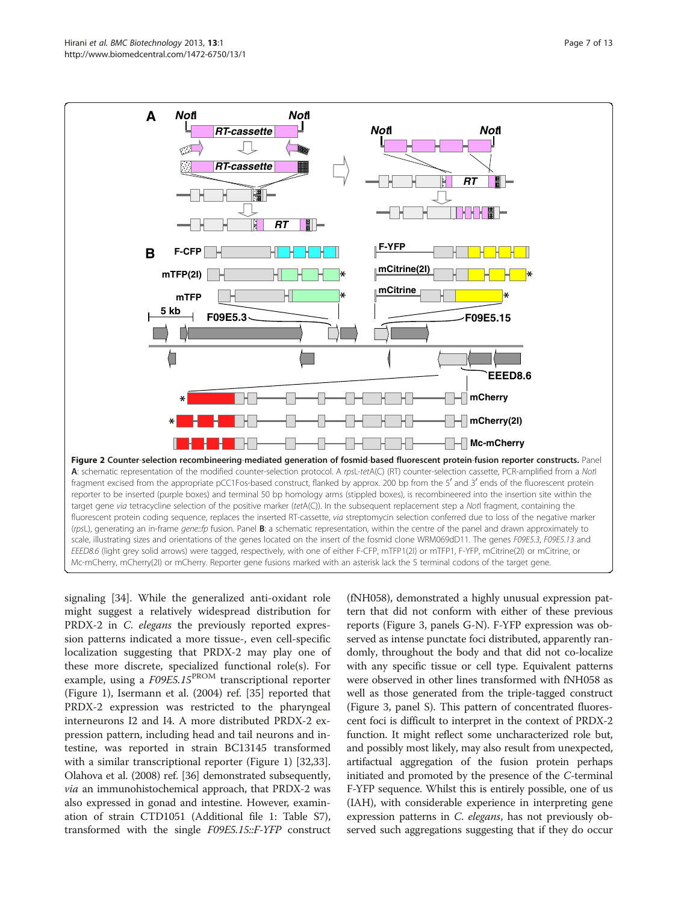<span id="page-6-0"></span>

signaling [\[34\]](#page-12-0). While the generalized anti-oxidant role might suggest a relatively widespread distribution for PRDX-2 in C. elegans the previously reported expression patterns indicated a more tissue-, even cell-specific localization suggesting that PRDX-2 may play one of these more discrete, specialized functional role(s). For example, using a  $F09E5.15^{PROM}$  transcriptional reporter (Figure [1](#page-5-0)), Isermann et al. (2004) ref. [\[35](#page-12-0)] reported that PRDX-2 expression was restricted to the pharyngeal interneurons I2 and I4. A more distributed PRDX-2 expression pattern, including head and tail neurons and intestine, was reported in strain BC13145 transformed with a similar transcriptional reporter (Figure [1\)](#page-5-0) [\[32,33](#page-12-0)]. Olahova et al. (2008) ref. [[36](#page-12-0)] demonstrated subsequently, via an immunohistochemical approach, that PRDX-2 was also expressed in gonad and intestine. However, examination of strain CTD1051 (Additional file [1](#page-11-0): Table S7), transformed with the single F09E5.15::F-YFP construct

(fNH058), demonstrated a highly unusual expression pattern that did not conform with either of these previous reports (Figure [3](#page-7-0), panels G-N). F-YFP expression was observed as intense punctate foci distributed, apparently randomly, throughout the body and that did not co-localize with any specific tissue or cell type. Equivalent patterns were observed in other lines transformed with fNH058 as well as those generated from the triple-tagged construct (Figure [3,](#page-7-0) panel S). This pattern of concentrated fluorescent foci is difficult to interpret in the context of PRDX-2 function. It might reflect some uncharacterized role but, and possibly most likely, may also result from unexpected, artifactual aggregation of the fusion protein perhaps initiated and promoted by the presence of the C-terminal F-YFP sequence. Whilst this is entirely possible, one of us (IAH), with considerable experience in interpreting gene expression patterns in C. elegans, has not previously observed such aggregations suggesting that if they do occur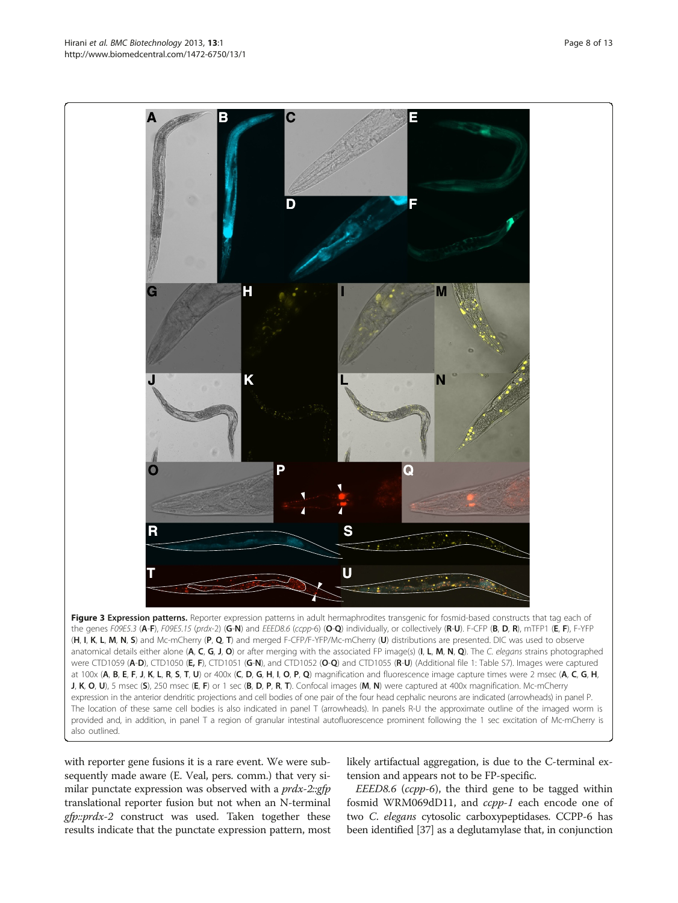Figure 3 Expression patterns. Reporter expression patterns in adult hermaphrodites transgenic for fosmid-based constructs that tag each of the genes F09E5.3 (A-F), F09E5.15 (prdx-2) (G-N) and EEED8.6 (ccpp-6) (O-Q) individually, or collectively (R-U). F-CFP (B, D, R), mTFP1 (E, F), F-YFP (H, I, K, L, M, N, S) and Mc-mCherry (P, Q, T) and merged F-CFP/F-YFP/Mc-mCherry (U) distributions are presented. DIC was used to observe anatomical details either alone  $(A, C, G, J, O)$  or after merging with the associated FP image(s) (I, L, M, N, Q). The C. elegans strains photographed were CTD1059 (A-D), CTD1050 (E, F), CTD1051 (G-N), and CTD1052 (O-Q) and CTD1055 (R-U) (Additional file [1:](#page-11-0) Table S7). Images were captured at 100x (A, B, E, F, J, K, L, R, S, T, U) or 400x (C, D, G, H, I, O, P, Q) magnification and fluorescence image capture times were 2 msec (A, C, G, H, J, K, O, U), 5 msec (S), 250 msec (E, F) or 1 sec (B, D, P, R, T). Confocal images (M, N) were captured at 400x magnification. Mc-mCherry expression in the anterior dendritic projections and cell bodies of one pair of the four head cephalic neurons are indicated (arrowheads) in panel P. The location of these same cell bodies is also indicated in panel T (arrowheads). In panels R-U the approximate outline of the imaged worm is provided and, in addition, in panel T a region of granular intestinal autofluorescence prominent following the 1 sec excitation of Mc-mCherry is also outlined.

with reporter gene fusions it is a rare event. We were subsequently made aware (E. Veal, pers. comm.) that very similar punctate expression was observed with a *prdx-2::gfp* translational reporter fusion but not when an N-terminal gfp::prdx-2 construct was used. Taken together these results indicate that the punctate expression pattern, most likely artifactual aggregation, is due to the C-terminal extension and appears not to be FP-specific.

EEED8.6 (ccpp-6), the third gene to be tagged within fosmid WRM069dD11, and *ccpp-1* each encode one of two C. elegans cytosolic carboxypeptidases. CCPP-6 has been identified [\[37\]](#page-12-0) as a deglutamylase that, in conjunction

<span id="page-7-0"></span>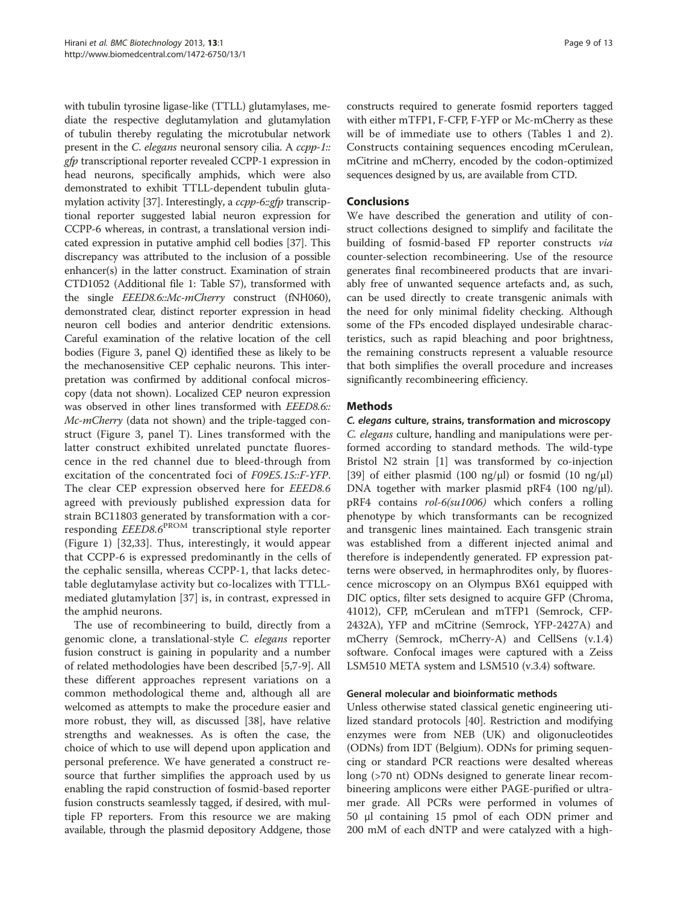with tubulin tyrosine ligase-like (TTLL) glutamylases, mediate the respective deglutamylation and glutamylation of tubulin thereby regulating the microtubular network present in the C. elegans neuronal sensory cilia. A ccpp-1:: gfp transcriptional reporter revealed CCPP-1 expression in head neurons, specifically amphids, which were also demonstrated to exhibit TTLL-dependent tubulin gluta-mylation activity [\[37](#page-12-0)]. Interestingly, a ccpp-6::gfp transcriptional reporter suggested labial neuron expression for CCPP-6 whereas, in contrast, a translational version indicated expression in putative amphid cell bodies [[37](#page-12-0)]. This discrepancy was attributed to the inclusion of a possible enhancer(s) in the latter construct. Examination of strain CTD1052 (Additional file [1](#page-11-0): Table S7), transformed with the single EEED8.6::Mc-mCherry construct (fNH060), demonstrated clear, distinct reporter expression in head neuron cell bodies and anterior dendritic extensions. Careful examination of the relative location of the cell bodies (Figure [3,](#page-7-0) panel Q) identified these as likely to be the mechanosensitive CEP cephalic neurons. This interpretation was confirmed by additional confocal microscopy (data not shown). Localized CEP neuron expression was observed in other lines transformed with *EEED8.6::* Mc-mCherry (data not shown) and the triple-tagged construct (Figure [3,](#page-7-0) panel T). Lines transformed with the latter construct exhibited unrelated punctate fluorescence in the red channel due to bleed-through from excitation of the concentrated foci of F09E5.15::F-YFP. The clear CEP expression observed here for EEED8.6 agreed with previously published expression data for strain BC11803 generated by transformation with a corresponding  $EEED8.6^{PROM}$  transcriptional style reporter (Figure [1](#page-5-0)) [[32,33](#page-12-0)]. Thus, interestingly, it would appear that CCPP-6 is expressed predominantly in the cells of the cephalic sensilla, whereas CCPP-1, that lacks detectable deglutamylase activity but co-localizes with TTLLmediated glutamylation [[37](#page-12-0)] is, in contrast, expressed in the amphid neurons.

The use of recombineering to build, directly from a genomic clone, a translational-style C. elegans reporter fusion construct is gaining in popularity and a number of related methodologies have been described [[5,7-9](#page-11-0)]. All these different approaches represent variations on a common methodological theme and, although all are welcomed as attempts to make the procedure easier and more robust, they will, as discussed [\[38\]](#page-12-0), have relative strengths and weaknesses. As is often the case, the choice of which to use will depend upon application and personal preference. We have generated a construct resource that further simplifies the approach used by us enabling the rapid construction of fosmid-based reporter fusion constructs seamlessly tagged, if desired, with multiple FP reporters. From this resource we are making available, through the plasmid depository Addgene, those

constructs required to generate fosmid reporters tagged with either mTFP1, F-CFP, F-YFP or Mc-mCherry as these will be of immediate use to others (Tables [1](#page-2-0) and [2](#page-4-0)). Constructs containing sequences encoding mCerulean, mCitrine and mCherry, encoded by the codon-optimized sequences designed by us, are available from CTD.

## Conclusions

We have described the generation and utility of construct collections designed to simplify and facilitate the building of fosmid-based FP reporter constructs via counter-selection recombineering. Use of the resource generates final recombineered products that are invariably free of unwanted sequence artefacts and, as such, can be used directly to create transgenic animals with the need for only minimal fidelity checking. Although some of the FPs encoded displayed undesirable characteristics, such as rapid bleaching and poor brightness, the remaining constructs represent a valuable resource that both simplifies the overall procedure and increases significantly recombineering efficiency.

### Methods

C. elegans culture, strains, transformation and microscopy C. elegans culture, handling and manipulations were performed according to standard methods. The wild-type Bristol N2 strain [[1\]](#page-11-0) was transformed by co-injection [[39\]](#page-12-0) of either plasmid (100 ng/μl) or fosmid (10 ng/μl) DNA together with marker plasmid pRF4 (100 ng/μl). pRF4 contains rol-6(su1006) which confers a rolling phenotype by which transformants can be recognized and transgenic lines maintained. Each transgenic strain was established from a different injected animal and therefore is independently generated. FP expression patterns were observed, in hermaphrodites only, by fluorescence microscopy on an Olympus BX61 equipped with DIC optics, filter sets designed to acquire GFP (Chroma, 41012), CFP, mCerulean and mTFP1 (Semrock, CFP-2432A), YFP and mCitrine (Semrock, YFP-2427A) and mCherry (Semrock, mCherry-A) and CellSens (v.1.4) software. Confocal images were captured with a Zeiss LSM510 META system and LSM510 (v.3.4) software.

### General molecular and bioinformatic methods

Unless otherwise stated classical genetic engineering utilized standard protocols [[40\]](#page-12-0). Restriction and modifying enzymes were from NEB (UK) and oligonucleotides (ODNs) from IDT (Belgium). ODNs for priming sequencing or standard PCR reactions were desalted whereas long (>70 nt) ODNs designed to generate linear recombineering amplicons were either PAGE-purified or ultramer grade. All PCRs were performed in volumes of 50 μl containing 15 pmol of each ODN primer and 200 mM of each dNTP and were catalyzed with a high-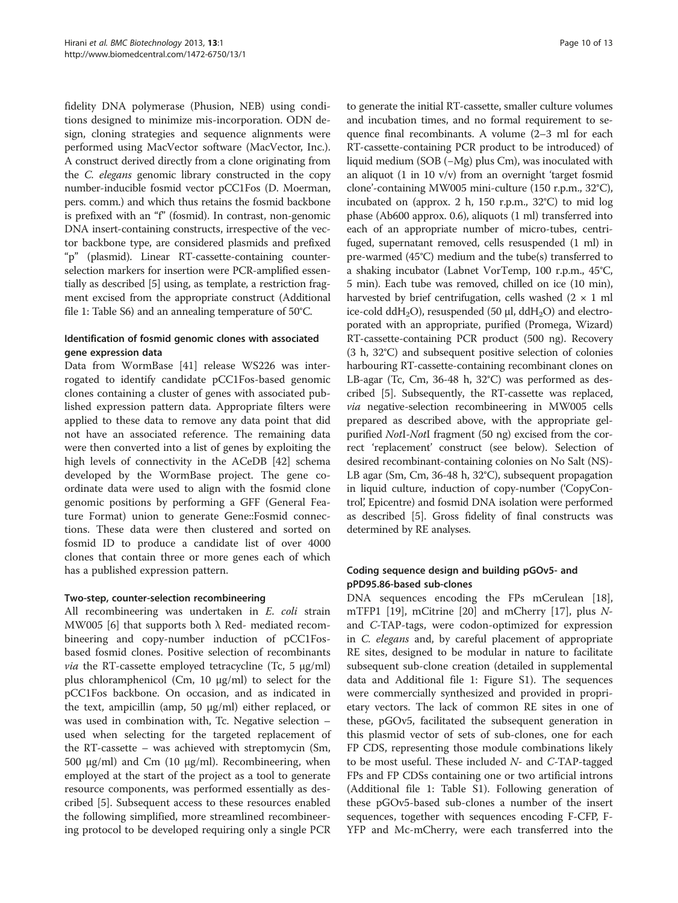fidelity DNA polymerase (Phusion, NEB) using conditions designed to minimize mis-incorporation. ODN design, cloning strategies and sequence alignments were performed using MacVector software (MacVector, Inc.). A construct derived directly from a clone originating from the C. elegans genomic library constructed in the copy number-inducible fosmid vector pCC1Fos (D. Moerman, pers. comm.) and which thus retains the fosmid backbone is prefixed with an "f" (fosmid). In contrast, non-genomic DNA insert-containing constructs, irrespective of the vector backbone type, are considered plasmids and prefixed "p" (plasmid). Linear RT-cassette-containing counterselection markers for insertion were PCR-amplified essentially as described [\[5](#page-11-0)] using, as template, a restriction fragment excised from the appropriate construct (Additional file [1](#page-11-0): Table S6) and an annealing temperature of 50°C.

## Identification of fosmid genomic clones with associated gene expression data

Data from WormBase [[41](#page-12-0)] release WS226 was interrogated to identify candidate pCC1Fos-based genomic clones containing a cluster of genes with associated published expression pattern data. Appropriate filters were applied to these data to remove any data point that did not have an associated reference. The remaining data were then converted into a list of genes by exploiting the high levels of connectivity in the ACeDB [\[42](#page-12-0)] schema developed by the WormBase project. The gene coordinate data were used to align with the fosmid clone genomic positions by performing a GFF (General Feature Format) union to generate Gene::Fosmid connections. These data were then clustered and sorted on fosmid ID to produce a candidate list of over 4000 clones that contain three or more genes each of which has a published expression pattern.

### Two-step, counter-selection recombineering

All recombineering was undertaken in E. coli strain MW005 [\[6\]](#page-11-0) that supports both  $λ$  Red- mediated recombineering and copy-number induction of pCC1Fosbased fosmid clones. Positive selection of recombinants *via* the RT-cassette employed tetracycline (Tc, 5  $\mu$ g/ml) plus chloramphenicol (Cm, 10 μg/ml) to select for the pCC1Fos backbone. On occasion, and as indicated in the text, ampicillin (amp, 50 μg/ml) either replaced, or was used in combination with, Tc. Negative selection – used when selecting for the targeted replacement of the RT-cassette – was achieved with streptomycin (Sm, 500  $\mu$ g/ml) and Cm (10  $\mu$ g/ml). Recombineering, when employed at the start of the project as a tool to generate resource components, was performed essentially as described [[5](#page-11-0)]. Subsequent access to these resources enabled the following simplified, more streamlined recombineering protocol to be developed requiring only a single PCR

to generate the initial RT-cassette, smaller culture volumes and incubation times, and no formal requirement to sequence final recombinants. A volume (2–3 ml for each RT-cassette-containing PCR product to be introduced) of liquid medium (SOB (−Mg) plus Cm), was inoculated with an aliquot (1 in 10 v/v) from an overnight 'target fosmid clone'-containing MW005 mini-culture (150 r.p.m., 32°C), incubated on (approx. 2 h, 150 r.p.m., 32°C) to mid log phase (Ab600 approx. 0.6), aliquots (1 ml) transferred into each of an appropriate number of micro-tubes, centrifuged, supernatant removed, cells resuspended (1 ml) in pre-warmed (45°C) medium and the tube(s) transferred to a shaking incubator (Labnet VorTemp, 100 r.p.m., 45°C, 5 min). Each tube was removed, chilled on ice (10 min), harvested by brief centrifugation, cells washed  $(2 \times 1$  ml ice-cold ddH<sub>2</sub>O), resuspended (50  $\mu$ l, ddH<sub>2</sub>O) and electroporated with an appropriate, purified (Promega, Wizard) RT-cassette-containing PCR product (500 ng). Recovery (3 h, 32°C) and subsequent positive selection of colonies harbouring RT-cassette-containing recombinant clones on LB-agar (Tc, Cm, 36-48 h, 32°C) was performed as described [[5\]](#page-11-0). Subsequently, the RT-cassette was replaced, via negative-selection recombineering in MW005 cells prepared as described above, with the appropriate gelpurified NotI-NotI fragment (50 ng) excised from the correct 'replacement' construct (see below). Selection of desired recombinant-containing colonies on No Salt (NS)- LB agar (Sm, Cm, 36-48 h, 32°C), subsequent propagation in liquid culture, induction of copy-number ('CopyControl', Epicentre) and fosmid DNA isolation were performed as described [[5](#page-11-0)]. Gross fidelity of final constructs was determined by RE analyses.

## Coding sequence design and building pGOv5- and pPD95.86-based sub-clones

DNA sequences encoding the FPs mCerulean [\[18](#page-11-0)], mTFP1 [[19](#page-11-0)], mCitrine [\[20](#page-11-0)] and mCherry [\[17\]](#page-11-0), plus Nand C-TAP-tags, were codon-optimized for expression in C. elegans and, by careful placement of appropriate RE sites, designed to be modular in nature to facilitate subsequent sub-clone creation (detailed in supplemental data and Additional file [1:](#page-11-0) Figure S1). The sequences were commercially synthesized and provided in proprietary vectors. The lack of common RE sites in one of these, pGOv5, facilitated the subsequent generation in this plasmid vector of sets of sub-clones, one for each FP CDS, representing those module combinations likely to be most useful. These included  $N$ - and  $C$ -TAP-tagged FPs and FP CDSs containing one or two artificial introns (Additional file [1:](#page-11-0) Table S1). Following generation of these pGOv5-based sub-clones a number of the insert sequences, together with sequences encoding F-CFP, F-YFP and Mc-mCherry, were each transferred into the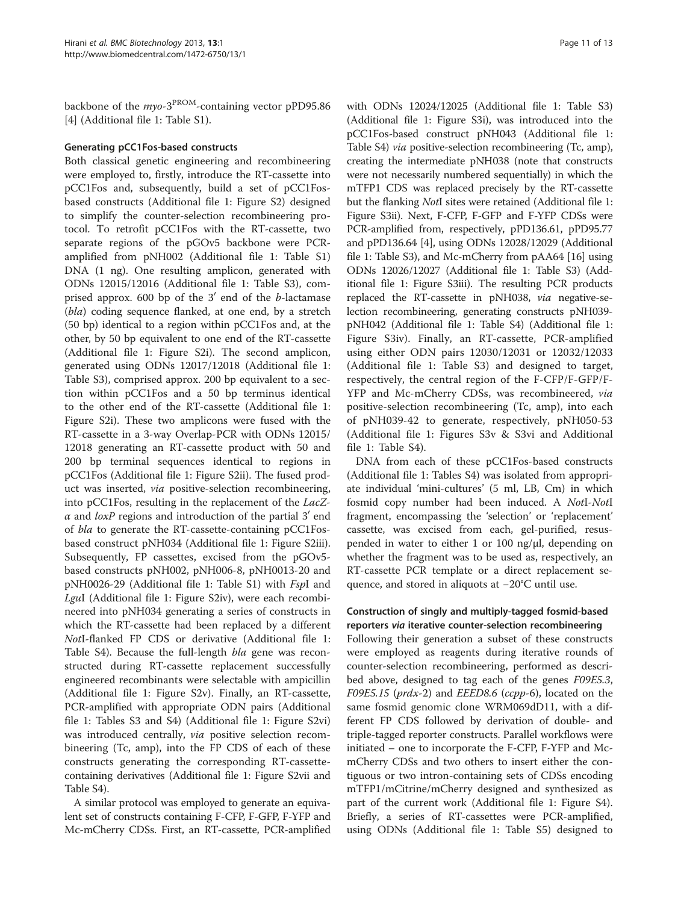backbone of the  $m\gamma o$ -3<sup>PROM</sup>-containing vector pPD95.86 [[4\]](#page-11-0) (Additional file [1](#page-11-0): Table S1).

## Generating pCC1Fos-based constructs

Both classical genetic engineering and recombineering were employed to, firstly, introduce the RT-cassette into pCC1Fos and, subsequently, build a set of pCC1Fosbased constructs (Additional file [1:](#page-11-0) Figure S2) designed to simplify the counter-selection recombineering protocol. To retrofit pCC1Fos with the RT-cassette, two separate regions of the pGOv5 backbone were PCRamplified from pNH002 (Additional file [1:](#page-11-0) Table S1) DNA (1 ng). One resulting amplicon, generated with ODNs 12015/12016 (Additional file [1:](#page-11-0) Table S3), comprised approx.  $600$  bp of the  $3'$  end of the b-lactamase (bla) coding sequence flanked, at one end, by a stretch (50 bp) identical to a region within pCC1Fos and, at the other, by 50 bp equivalent to one end of the RT-cassette (Additional file [1:](#page-11-0) Figure S2i). The second amplicon, generated using ODNs 12017/12018 (Additional file [1](#page-11-0): Table S3), comprised approx. 200 bp equivalent to a section within pCC1Fos and a 50 bp terminus identical to the other end of the RT-cassette (Additional file [1](#page-11-0): Figure S2i). These two amplicons were fused with the RT-cassette in a 3-way Overlap-PCR with ODNs 12015/ 12018 generating an RT-cassette product with 50 and 200 bp terminal sequences identical to regions in pCC1Fos (Additional file [1:](#page-11-0) Figure S2ii). The fused product was inserted, via positive-selection recombineering, into pCC1Fos, resulting in the replacement of the LacZ- $\alpha$  and loxP regions and introduction of the partial 3' end of bla to generate the RT-cassette-containing pCC1Fosbased construct pNH034 (Additional file [1](#page-11-0): Figure S2iii). Subsequently, FP cassettes, excised from the pGOv5 based constructs pNH002, pNH006-8, pNH0013-20 and pNH0026-29 (Additional file [1:](#page-11-0) Table S1) with FspI and LguI (Additional file [1:](#page-11-0) Figure S2iv), were each recombineered into pNH034 generating a series of constructs in which the RT-cassette had been replaced by a different NotI-flanked FP CDS or derivative (Additional file [1](#page-11-0): Table S4). Because the full-length *bla* gene was reconstructed during RT-cassette replacement successfully engineered recombinants were selectable with ampicillin (Additional file [1](#page-11-0): Figure S2v). Finally, an RT-cassette, PCR-amplified with appropriate ODN pairs (Additional file [1:](#page-11-0) Tables S3 and S4) (Additional file [1:](#page-11-0) Figure S2vi) was introduced centrally, via positive selection recombineering (Tc, amp), into the FP CDS of each of these constructs generating the corresponding RT-cassettecontaining derivatives (Additional file [1](#page-11-0): Figure S2vii and Table S4).

A similar protocol was employed to generate an equivalent set of constructs containing F-CFP, F-GFP, F-YFP and Mc-mCherry CDSs. First, an RT-cassette, PCR-amplified

with ODNs 12024/12025 (Additional file [1](#page-11-0): Table S3) (Additional file [1:](#page-11-0) Figure S3i), was introduced into the pCC1Fos-based construct pNH043 (Additional file [1](#page-11-0): Table S4) via positive-selection recombineering (Tc, amp), creating the intermediate pNH038 (note that constructs were not necessarily numbered sequentially) in which the mTFP1 CDS was replaced precisely by the RT-cassette but the flanking NotI sites were retained (Additional file [1](#page-11-0): Figure S3ii). Next, F-CFP, F-GFP and F-YFP CDSs were PCR-amplified from, respectively, pPD136.61, pPD95.77 and pPD136.64 [\[4](#page-11-0)], using ODNs 12028/12029 (Additional file [1](#page-11-0): Table S3), and Mc-mCherry from pAA64 [[16](#page-11-0)] using ODNs 12026/12027 (Additional file [1:](#page-11-0) Table S3) (Additional file [1](#page-11-0): Figure S3iii). The resulting PCR products replaced the RT-cassette in pNH038, via negative-selection recombineering, generating constructs pNH039 pNH042 (Additional file [1](#page-11-0): Table S4) (Additional file [1](#page-11-0): Figure S3iv). Finally, an RT-cassette, PCR-amplified using either ODN pairs 12030/12031 or 12032/12033 (Additional file [1:](#page-11-0) Table S3) and designed to target, respectively, the central region of the F-CFP/F-GFP/F-YFP and Mc-mCherry CDSs, was recombineered, via positive-selection recombineering (Tc, amp), into each of pNH039-42 to generate, respectively, pNH050-53 (Additional file [1](#page-11-0): Figures S3v & S3vi and Additional file [1](#page-11-0): Table S4).

DNA from each of these pCC1Fos-based constructs (Additional file [1](#page-11-0): Tables S4) was isolated from appropriate individual 'mini-cultures' (5 ml, LB, Cm) in which fosmid copy number had been induced. A NotI-NotI fragment, encompassing the 'selection' or 'replacement' cassette, was excised from each, gel-purified, resuspended in water to either 1 or 100 ng/μl, depending on whether the fragment was to be used as, respectively, an RT-cassette PCR template or a direct replacement sequence, and stored in aliquots at −20°C until use.

## Construction of singly and multiply-tagged fosmid-based reporters via iterative counter-selection recombineering

Following their generation a subset of these constructs were employed as reagents during iterative rounds of counter-selection recombineering, performed as described above, designed to tag each of the genes F09E5.3,  $F09E5.15$  ( $prdx-2$ ) and  $EEED8.6$  ( $ccpp-6$ ), located on the same fosmid genomic clone WRM069dD11, with a different FP CDS followed by derivation of double- and triple-tagged reporter constructs. Parallel workflows were initiated – one to incorporate the F-CFP, F-YFP and McmCherry CDSs and two others to insert either the contiguous or two intron-containing sets of CDSs encoding mTFP1/mCitrine/mCherry designed and synthesized as part of the current work (Additional file [1:](#page-11-0) Figure S4). Briefly, a series of RT-cassettes were PCR-amplified, using ODNs (Additional file [1:](#page-11-0) Table S5) designed to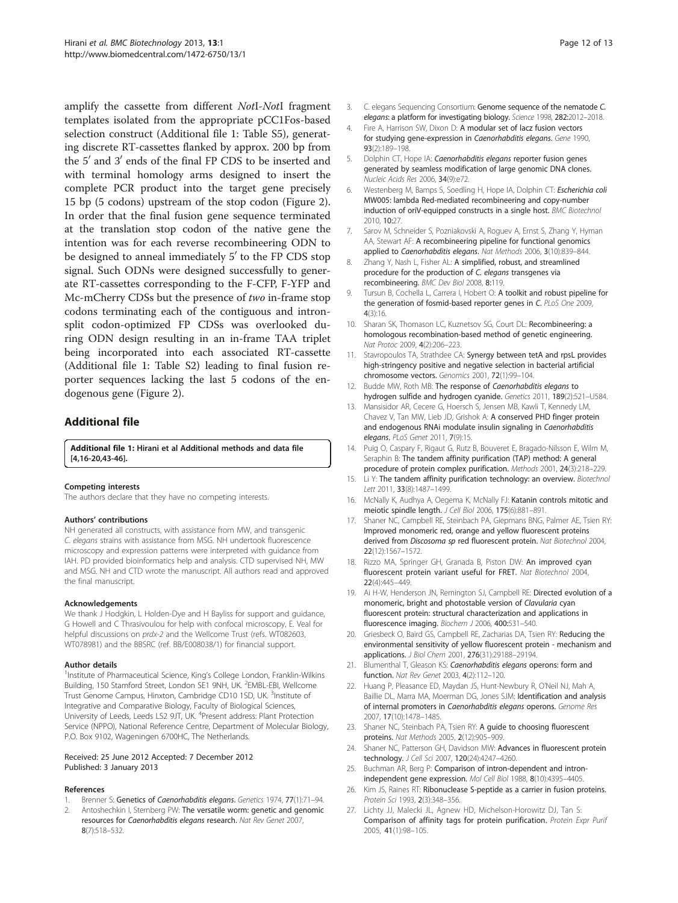<span id="page-11-0"></span>amplify the cassette from different NotI-NotI fragment templates isolated from the appropriate pCC1Fos-based selection construct (Additional file 1: Table S5), generating discrete RT-cassettes flanked by approx. 200 bp from the  $5'$  and  $3'$  ends of the final FP CDS to be inserted and with terminal homology arms designed to insert the complete PCR product into the target gene precisely 15 bp (5 codons) upstream of the stop codon (Figure [2](#page-6-0)). In order that the final fusion gene sequence terminated at the translation stop codon of the native gene the intention was for each reverse recombineering ODN to be designed to anneal immediately  $5^{\prime}$  to the FP CDS stop signal. Such ODNs were designed successfully to generate RT-cassettes corresponding to the F-CFP, F-YFP and Mc-mCherry CDSs but the presence of two in-frame stop codons terminating each of the contiguous and intronsplit codon-optimized FP CDSs was overlooked during ODN design resulting in an in-frame TAA triplet being incorporated into each associated RT-cassette (Additional file 1: Table S2) leading to final fusion reporter sequences lacking the last 5 codons of the endogenous gene (Figure [2](#page-6-0)).

## Additional file

[Additional file 1:](http://www.biomedcentral.com/content/supplementary/1472-6750-13-1-S1.pdf) Hirani et al Additional methods and data file [4,16-20,[43-46](#page-12-0)].

#### Competing interests

The authors declare that they have no competing interests.

#### Authors' contributions

NH generated all constructs, with assistance from MW, and transgenic C. elegans strains with assistance from MSG. NH undertook fluorescence microscopy and expression patterns were interpreted with guidance from IAH. PD provided bioinformatics help and analysis. CTD supervised NH, MW and MSG. NH and CTD wrote the manuscript. All authors read and approved the final manuscript.

#### Acknowledgements

We thank J Hodgkin, L Holden-Dye and H Bayliss for support and guidance, G Howell and C Thrasivoulou for help with confocal microscopy, E. Veal for helpful discussions on prdx-2 and the Wellcome Trust (refs. WT082603, WT078981) and the BBSRC (ref. BB/E008038/1) for financial support.

#### Author details

<sup>1</sup>Institute of Pharmaceutical Science, King's College London, Franklin-Wilkins Building, 150 Stamford Street, London SE1 9NH, UK. <sup>2</sup>EMBL-EBI, Wellcome Trust Genome Campus, Hinxton, Cambridge CD10 1SD, UK. <sup>3</sup>Institute of Integrative and Comparative Biology, Faculty of Biological Sciences, University of Leeds, Leeds LS2 9JT, UK. <sup>4</sup>Present address: Plant Protection Service (NPPO), National Reference Centre, Department of Molecular Biology, P.O. Box 9102, Wageningen 6700HC, The Netherlands.

#### Received: 25 June 2012 Accepted: 7 December 2012 Published: 3 January 2013

#### References

- Brenner S: Genetics of Caenorhabditis elegans. Genetics 1974, 77(1):71-94.
- 2. Antoshechkin I, Sternberg PW: The versatile worm: genetic and genomic resources for Caenorhabditis elegans research. Nat Rev Genet 2007, 8(7):518–532.
- 3. C. elegans Sequencing Consortium: Genome sequence of the nematode C. elegans: a platform for investigating biology. Science 1998, 282:2012–2018.
- 4. Fire A, Harrison SW, Dixon D: A modular set of lacz fusion vectors for studying gene-expression in Caenorhabditis elegans. Gene 1990, 93(2):189–198.
- Dolphin CT, Hope IA: Caenorhabditis elegans reporter fusion genes generated by seamless modification of large genomic DNA clones. Nucleic Acids Res 2006, 34(9):e72.
- 6. Westenberg M, Bamps S, Soedling H, Hope IA, Dolphin CT: Escherichia coli MW005: lambda Red-mediated recombineering and copy-number induction of oriV-equipped constructs in a single host. BMC Biotechnol 2010, 10:27.
- 7. Sarov M, Schneider S, Pozniakovski A, Roguev A, Ernst S, Zhang Y, Hyman AA, Stewart AF: A recombineering pipeline for functional genomics applied to Caenorhabditis elegans. Nat Methods 2006, 3(10):839–844.
- 8. Zhang Y, Nash L, Fisher AL: A simplified, robust, and streamlined procedure for the production of C. elegans transgenes via recombineering. BMC Dev Biol 2008, 8:119.
- 9. Tursun B, Cochella L, Carrera I, Hobert O: A toolkit and robust pipeline for the generation of fosmid-based reporter genes in C. PLoS One 2009, 4(3):16.
- 10. Sharan SK, Thomason LC, Kuznetsov SG, Court DL: Recombineering: a homologous recombination-based method of genetic engineering. Nat Protoc 2009, 4(2):206–223.
- 11. Stavropoulos TA, Strathdee CA: Synergy between tetA and rpsL provides high-stringency positive and negative selection in bacterial artificial chromosome vectors. Genomics 2001, 72(1):99–104.
- 12. Budde MW, Roth MB: The response of Caenorhabditis elegans to hydrogen sulfide and hydrogen cyanide. Genetics 2011, 189(2):521–U584.
- 13. Mansisidor AR, Cecere G, Hoersch S, Jensen MB, Kawli T, Kennedy LM, Chavez V, Tan MW, Lieb JD, Grishok A: A conserved PHD finger protein and endogenous RNAi modulate insulin signaling in Caenorhabditis elegans. PLoS Genet 2011, 7(9):15.
- 14. Puig O, Caspary F, Rigaut G, Rutz B, Bouveret E, Bragado-Nilsson E, Wilm M, Seraphin B: The tandem affinity purification (TAP) method: A general procedure of protein complex purification. Methods 2001, 24(3):218–229.
- 15. Li Y: The tandem affinity purification technology: an overview. Biotechnol Lett 2011, 33(8):1487–1499.
- 16. McNally K, Audhya A, Oegema K, McNally FJ: Katanin controls mitotic and meiotic spindle length. J Cell Biol 2006, 175(6):881–891.
- 17. Shaner NC, Campbell RE, Steinbach PA, Giepmans BNG, Palmer AE, Tsien RY: Improved monomeric red, orange and yellow fluorescent proteins derived from Discosoma sp red fluorescent protein. Nat Biotechnol 2004, 22(12):1567–1572.
- 18. Rizzo MA, Springer GH, Granada B, Piston DW: An improved cyan fluorescent protein variant useful for FRET. Nat Biotechnol 2004, 22(4):445–449.
- 19. Ai H-W, Henderson JN, Remington SJ, Campbell RE: Directed evolution of a monomeric, bright and photostable version of Clavularia cyan fluorescent protein: structural characterization and applications in fluorescence imaging. Biochem J 2006, 400:531–540.
- 20. Griesbeck O, Baird GS, Campbell RE, Zacharias DA, Tsien RY: Reducing the environmental sensitivity of yellow fluorescent protein - mechanism and applications. J Biol Chem 2001, 276(31):29188–29194.
- 21. Blumenthal T, Gleason KS: Caenorhabditis elegans operons: form and function. Nat Rev Genet 2003, 4(2):112–120.
- 22. Huang P, Pleasance ED, Maydan JS, Hunt-Newbury R, O'Neil NJ, Mah A, Baillie DL, Marra MA, Moerman DG, Jones SJM: Identification and analysis of internal promoters in Caenorhabditis elegans operons. Genome Res 2007, 17(10):1478–1485.
- 23. Shaner NC, Steinbach PA, Tsien RY: A guide to choosing fluorescent proteins. Nat Methods 2005, 2(12):905–909.
- 24. Shaner NC, Patterson GH, Davidson MW: Advances in fluorescent protein technology. J Cell Sci 2007, 120(24):4247–4260.
- 25. Buchman AR, Berg P: Comparison of intron-dependent and intronindependent gene expression. Mol Cell Biol 1988, 8(10):4395–4405.
- 26. Kim JS, Raines RT: Ribonuclease S-peptide as a carrier in fusion proteins. Protein Sci 1993, 2(3):348–356.
- 27. Lichty JJ, Malecki JL, Agnew HD, Michelson-Horowitz DJ, Tan S: Comparison of affinity tags for protein purification. Protein Expr Purif 2005, 41(1):98–105.